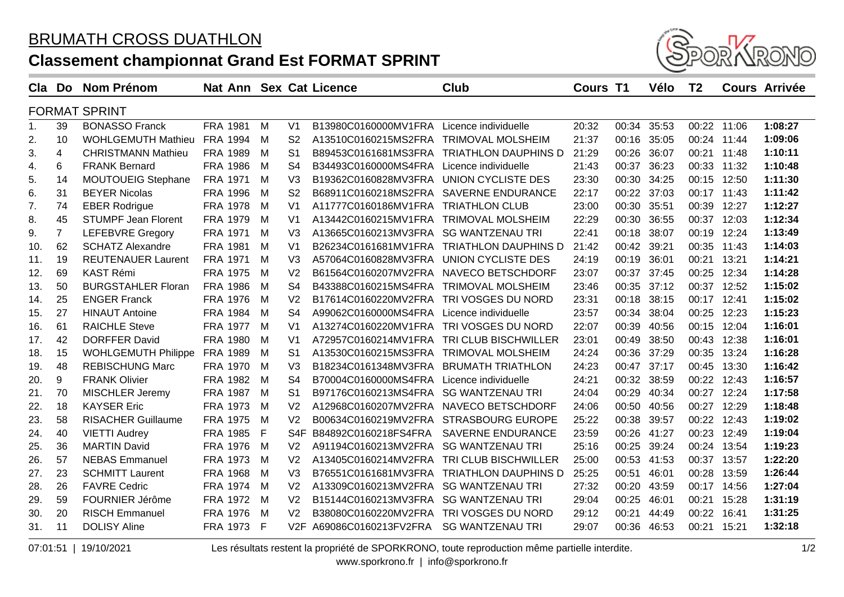## **Classement championnat Grand Est FORMAT SPRINT**



| Cla                  | Do             | <b>Nom Prénom</b>          | Nat Ann Sex Cat Licence |          |                  |                                           | <b>Club</b>                               | <b>Cours T1</b> |             | Vélo  | T <sub>2</sub> |       | <b>Cours Arrivée</b> |
|----------------------|----------------|----------------------------|-------------------------|----------|------------------|-------------------------------------------|-------------------------------------------|-----------------|-------------|-------|----------------|-------|----------------------|
| <b>FORMAT SPRINT</b> |                |                            |                         |          |                  |                                           |                                           |                 |             |       |                |       |                      |
| $\mathbf{1}$ .       | 39             | <b>BONASSO Franck</b>      | <b>FRA 1981</b>         | M        | V <sub>1</sub>   | B13980C0160000MV1FRA Licence individuelle |                                           | 20:32           | 00:34 35:53 |       | 00:22          | 11:06 | 1:08:27              |
| 2.                   | 10             | <b>WOHLGEMUTH Mathieu</b>  | <b>FRA 1994</b>         | M        | S <sub>2</sub>   | A13510C0160215MS2FRA TRIMOVAL MOLSHEIM    |                                           | 21:37           | 00:16       | 35:05 | 00:24          | 11:44 | 1:09:06              |
| 3.                   | 4              | <b>CHRISTMANN Mathieu</b>  | FRA 1989                | M        | S <sub>1</sub>   |                                           | B89453C0161681MS3FRA TRIATHLON DAUPHINS D | 21:29           | 00:26       | 36:07 | 00:21          | 11:48 | 1:10:11              |
| 4.                   | 6              | <b>FRANK Bernard</b>       | <b>FRA 1986</b>         | M        | S <sub>4</sub>   | B34493C0160000MS4FRA Licence individuelle |                                           | 21:43           | 00:37       | 36:23 | 00:33          | 11:32 | 1:10:48              |
| 5.                   | 14             | <b>MOUTOUEIG Stephane</b>  | FRA 1971                | M        | V <sub>3</sub>   | B19362C0160828MV3FRA UNION CYCLISTE DES   |                                           | 23:30           | 00:30       | 34:25 | 00:15          | 12:50 | 1:11:30              |
| 6.                   | 31             | <b>BEYER Nicolas</b>       | <b>FRA 1996</b>         | M        | S <sub>2</sub>   | B68911C0160218MS2FRA SAVERNE ENDURANCE    |                                           | 22:17           | 00:22       | 37:03 | 00:17          | 11:43 | 1:11:42              |
| 7.                   | 74             | <b>EBER Rodrigue</b>       | <b>FRA 1978</b>         | M        | V <sub>1</sub>   | A11777C0160186MV1FRA TRIATHLON CLUB       |                                           | 23:00           | 00:30       | 35:51 | 00:39          | 12:27 | 1:12:27              |
| 8.                   | 45             | <b>STUMPF Jean Florent</b> | FRA 1979                | M        | V <sub>1</sub>   | A13442C0160215MV1FRA TRIMOVAL MOLSHEIM    |                                           | 22:29           | 00:30       | 36:55 | 00:37          | 12:03 | 1:12:34              |
| 9.                   | $\overline{7}$ | <b>LEFEBVRE Gregory</b>    | <b>FRA 1971</b>         | M        | V <sub>3</sub>   | A13665C0160213MV3FRA SG WANTZENAU TRI     |                                           | 22:41           | 00:18       | 38:07 | 00:19          | 12:24 | 1:13:49              |
| 10.                  | 62             | <b>SCHATZ Alexandre</b>    | <b>FRA 1981</b>         | M        | V <sub>1</sub>   |                                           | B26234C0161681MV1FRA TRIATHLON DAUPHINS D | 21:42           | 00:42       | 39:21 | 00:35          | 11:43 | 1:14:03              |
| 11.                  | 19             | <b>REUTENAUER Laurent</b>  | FRA 1971                | M        | V <sub>3</sub>   | A57064C0160828MV3FRA UNION CYCLISTE DES   |                                           | 24:19           | 00:19       | 36:01 | 00:21          | 13:21 | 1:14:21              |
| 12.                  | 69             | <b>KAST Rémi</b>           | <b>FRA 1975</b>         | M        | V <sub>2</sub>   | B61564C0160207MV2FRA NAVECO BETSCHDORF    |                                           | 23:07           | 00:37       | 37:45 | 00:25          | 12:34 | 1:14:28              |
| 13.                  | 50             | <b>BURGSTAHLER Floran</b>  | <b>FRA 1986</b>         | M        | S <sub>4</sub>   | B43388C0160215MS4FRA TRIMOVAL MOLSHEIM    |                                           | 23:46           | 00:35       | 37:12 | 00:37          | 12:52 | 1:15:02              |
| 14.                  | 25             | <b>ENGER Franck</b>        | FRA 1976                | M        | V <sub>2</sub>   | B17614C0160220MV2FRA TRI VOSGES DU NORD   |                                           | 23:31           | 00:18       | 38:15 | 00:17          | 12:41 | 1:15:02              |
| 15.                  | 27             | <b>HINAUT Antoine</b>      | <b>FRA 1984</b>         | M        | S <sub>4</sub>   | A99062C0160000MS4FRA                      | Licence individuelle                      | 23:57           | 00:34       | 38:04 | 00:25          | 12:23 | 1:15:23              |
| 16.                  | 61             | <b>RAICHLE Steve</b>       | FRA 1977                | - M      | V <sub>1</sub>   | A13274C0160220MV1FRA TRI VOSGES DU NORD   |                                           | 22:07           | 00:39       | 40:56 | 00:15          | 12:04 | 1:16:01              |
| 17.                  | 42             | <b>DORFFER David</b>       | <b>FRA 1980</b>         | M        | V <sub>1</sub>   | A72957C0160214MV1FRA TRI CLUB BISCHWILLER |                                           | 23:01           | 00:49       | 38:50 | 00:43          | 12:38 | 1:16:01              |
| 18.                  | 15             | <b>WOHLGEMUTH Philippe</b> | <b>FRA 1989</b>         | M        | S <sub>1</sub>   | A13530C0160215MS3FRA TRIMOVAL MOLSHEIM    |                                           | 24:24           | 00:36       | 37:29 | 00:35          | 13:24 | 1:16:28              |
| 19.                  | 48             | <b>REBISCHUNG Marc</b>     | FRA 1970                | M        | V <sub>3</sub>   | B18234C0161348MV3FRA BRUMATH TRIATHLON    |                                           | 24:23           | 00:47       | 37:17 | 00:45          | 13:30 | 1:16:42              |
| 20.                  | 9              | <b>FRANK Olivier</b>       | <b>FRA 1982</b>         | M        | S <sub>4</sub>   | B70004C0160000MS4FRA                      | Licence individuelle                      | 24:21           | 00:32       | 38:59 | 00:22          | 12:43 | 1:16:57              |
| 21.                  | 70             | MISCHLER Jeremy            | FRA 1987                | <b>M</b> | S <sub>1</sub>   | B97176C0160213MS4FRA SG WANTZENAU TRI     |                                           | 24:04           | 00:29       | 40:34 | 00:27          | 12:24 | 1:17:58              |
| 22.                  | 18             | <b>KAYSER Eric</b>         | FRA 1973                | M        | V <sub>2</sub>   | A12968C0160207MV2FRA NAVECO BETSCHDORF    |                                           | 24:06           | 00:50       | 40:56 | 00:27          | 12:29 | 1:18:48              |
| 23.                  | 58             | <b>RISACHER Guillaume</b>  | <b>FRA 1975</b>         | M        | V <sub>2</sub>   | B00634C0160219MV2FRA                      | <b>STRASBOURG EUROPE</b>                  | 25:22           | 00:38       | 39:57 | 00:22          | 12:43 | 1:19:02              |
| 24.                  | 40             | <b>VIETTI Audrey</b>       | <b>FRA 1985</b>         | F        | S <sub>4</sub> F | B84892C0160218FS4FRA                      | <b>SAVERNE ENDURANCE</b>                  | 23:59           | 00:26       | 41:27 | 00:23          | 12:49 | 1:19:04              |
| 25.                  | 36             | <b>MARTIN David</b>        | <b>FRA 1976</b>         | M        | V <sub>2</sub>   | A91194C0160213MV2FRA                      | <b>SG WANTZENAU TRI</b>                   | 25:16           | 00:25       | 39:24 | 00:24          | 13:54 | 1:19:23              |
| 26.                  | 57             | <b>NEBAS Emmanuel</b>      | FRA 1973                | - M      | V <sub>2</sub>   | A13405C0160214MV2FRA                      | TRI CLUB BISCHWILLER                      | 25:00           | 00:53 41:53 |       | 00:37          | 13:57 | 1:22:20              |
| 27.                  | 23             | <b>SCHMITT Laurent</b>     | <b>FRA 1968</b>         | M        | V <sub>3</sub>   | B76551C0161681MV3FRA                      | <b>TRIATHLON DAUPHINS D</b>               | 25:25           | 00:51       | 46:01 | 00:28          | 13:59 | 1:26:44              |
| 28.                  | 26             | <b>FAVRE Cedric</b>        | FRA 1974                | M        | V <sub>2</sub>   | A13309C0160213MV2FRA                      | <b>SG WANTZENAU TRI</b>                   | 27:32           | 00:20       | 43:59 | 00:17          | 14:56 | 1:27:04              |
| 29.                  | 59             | FOURNIER Jérôme            | FRA 1972                | M        | V <sub>2</sub>   | B15144C0160213MV3FRA SG WANTZENAU TRI     |                                           | 29:04           | 00:25       | 46:01 | 00:21          | 15:28 | 1:31:19              |
| 30.                  | 20             | <b>RISCH Emmanuel</b>      | <b>FRA 1976</b>         | M        | V <sub>2</sub>   | B38080C0160220MV2FRA                      | TRI VOSGES DU NORD                        | 29:12           | 00:21       | 44:49 | 00:22          | 16:41 | 1:31:25              |
| 31.                  | 11             | <b>DOLISY Aline</b>        | FRA 1973 F              |          | V2F              | A69086C0160213FV2FRA                      | <b>SG WANTZENAU TRI</b>                   | 29:07           | 00:36       | 46:53 | 00:21          | 15:21 | 1:32:18              |

07:01:51 | 19/10/2021 Les résultats restent la propriété de SPORKRONO, toute reproduction même partielle interdite.

www.sporkrono.fr | info@sporkrono.fr